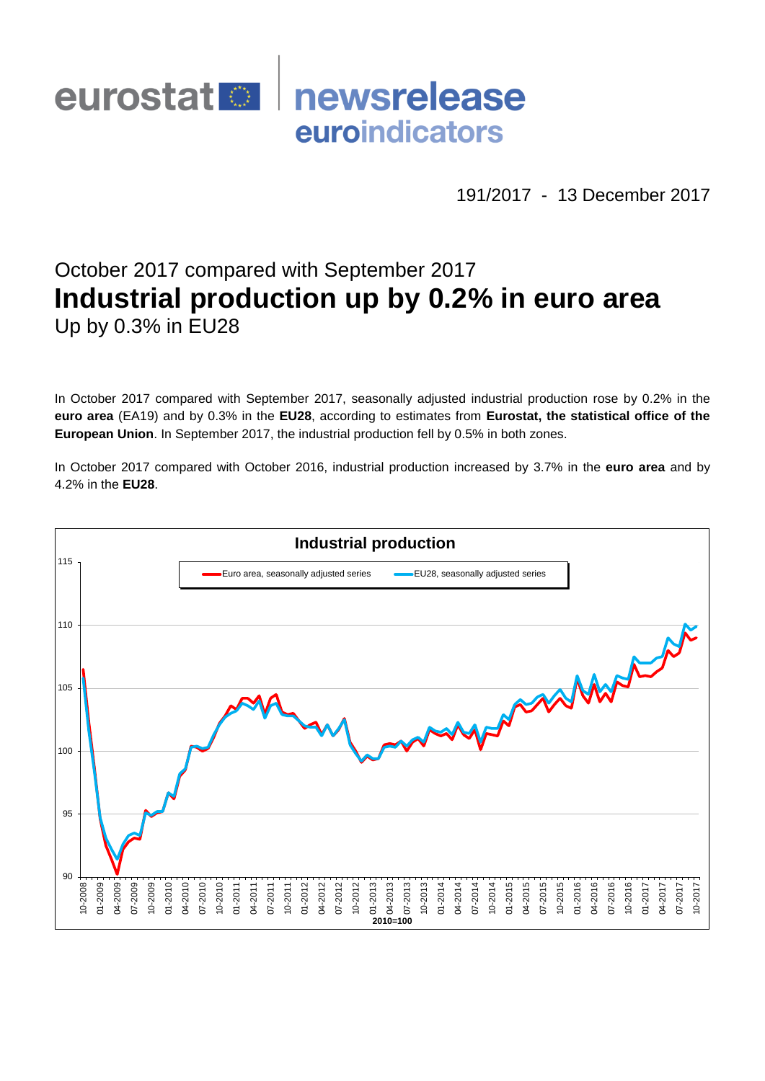## newsrelease eurostat<sup>o</sup> euroindicators

191/2017 - 13 December 2017

# October 2017 compared with September 2017 **Industrial production up by 0.2% in euro area** Up by 0.3% in EU28

In October 2017 compared with September 2017, seasonally adjusted industrial production rose by 0.2% in the **euro area** (EA19) and by 0.3% in the **EU28**, according to estimates from **Eurostat, the statistical office of the European Union**. In September 2017, the industrial production fell by 0.5% in both zones.

In October 2017 compared with October 2016, industrial production increased by 3.7% in the **euro area** and by 4.2% in the **EU28**.

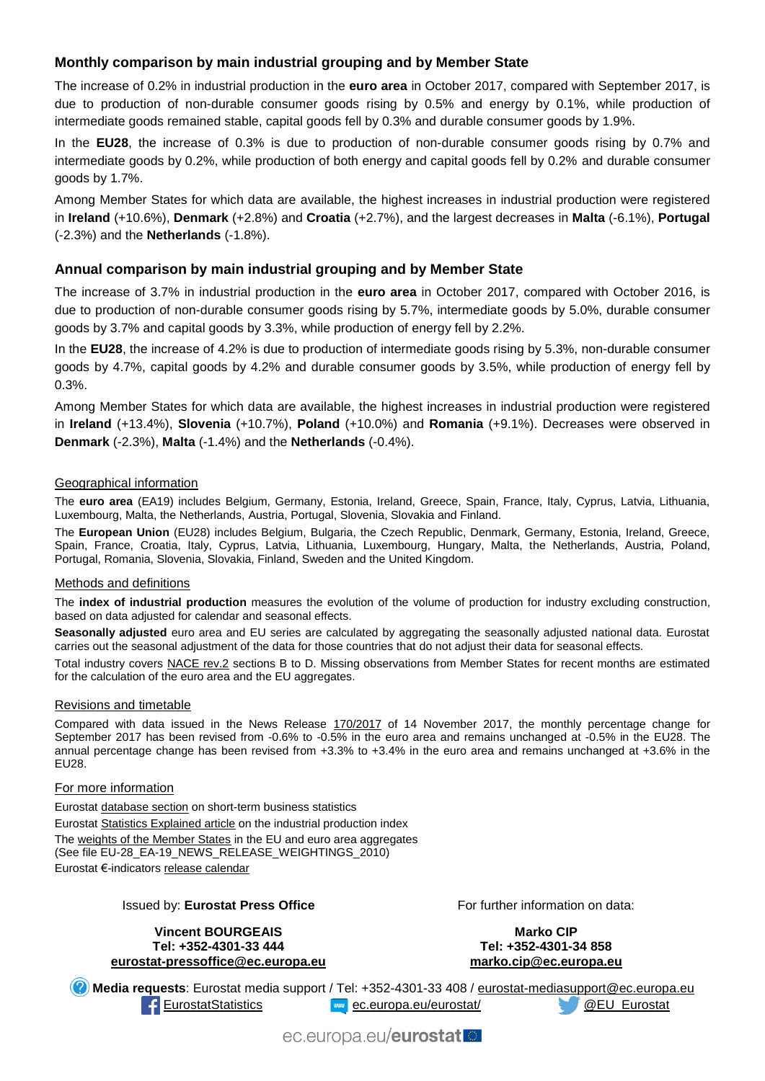## **Monthly comparison by main industrial grouping and by Member State**

The increase of 0.2% in industrial production in the **euro area** in October 2017, compared with September 2017, is due to production of non-durable consumer goods rising by 0.5% and energy by 0.1%, while production of intermediate goods remained stable, capital goods fell by 0.3% and durable consumer goods by 1.9%.

In the **EU28**, the increase of 0.3% is due to production of non-durable consumer goods rising by 0.7% and intermediate goods by 0.2%, while production of both energy and capital goods fell by 0.2% and durable consumer goods by 1.7%.

Among Member States for which data are available, the highest increases in industrial production were registered in **Ireland** (+10.6%), **Denmark** (+2.8%) and **Croatia** (+2.7%), and the largest decreases in **Malta** (-6.1%), **Portugal** (-2.3%) and the **Netherlands** (-1.8%).

### **Annual comparison by main industrial grouping and by Member State**

The increase of 3.7% in industrial production in the **euro area** in October 2017, compared with October 2016, is due to production of non-durable consumer goods rising by 5.7%, intermediate goods by 5.0%, durable consumer goods by 3.7% and capital goods by 3.3%, while production of energy fell by 2.2%.

In the **EU28**, the increase of 4.2% is due to production of intermediate goods rising by 5.3%, non-durable consumer goods by 4.7%, capital goods by 4.2% and durable consumer goods by 3.5%, while production of energy fell by 0.3%.

Among Member States for which data are available, the highest increases in industrial production were registered in **Ireland** (+13.4%), **Slovenia** (+10.7%), **Poland** (+10.0%) and **Romania** (+9.1%). Decreases were observed in **Denmark** (-2.3%), **Malta** (-1.4%) and the **Netherlands** (-0.4%).

#### Geographical information

The **euro area** (EA19) includes Belgium, Germany, Estonia, Ireland, Greece, Spain, France, Italy, Cyprus, Latvia, Lithuania, Luxembourg, Malta, the Netherlands, Austria, Portugal, Slovenia, Slovakia and Finland.

The **European Union** (EU28) includes Belgium, Bulgaria, the Czech Republic, Denmark, Germany, Estonia, Ireland, Greece, Spain, France, Croatia, Italy, Cyprus, Latvia, Lithuania, Luxembourg, Hungary, Malta, the Netherlands, Austria, Poland, Portugal, Romania, Slovenia, Slovakia, Finland, Sweden and the United Kingdom.

#### Methods and definitions

The **index of industrial production** measures the evolution of the volume of production for industry excluding construction, based on data adjusted for calendar and seasonal effects.

**Seasonally adjusted** euro area and EU series are calculated by aggregating the seasonally adjusted national data. Eurostat carries out the seasonal adjustment of the data for those countries that do not adjust their data for seasonal effects.

Total industry covers [NACE rev.2](http://ec.europa.eu/eurostat/ramon/nomenclatures/index.cfm?TargetUrl=LST_NOM_DTL&StrNom=NACE_REV2&StrLanguageCode=EN&IntPcKey=&StrLayoutCode=HIERARCHIC) sections B to D. Missing observations from Member States for recent months are estimated for the calculation of the euro area and the EU aggregates.

#### Revisions and timetable

Compared with data issued in the News Release [170/2017](http://ec.europa.eu/eurostat/documents/2995521/8440511/4-14112017-AP-EN.pdf/47d523e0-0212-4c97-be58-954a525469cf) of 14 November 2017, the monthly percentage change for September 2017 has been revised from -0.6% to -0.5% in the euro area and remains unchanged at -0.5% in the EU28. The annual percentage change has been revised from +3.3% to +3.4% in the euro area and remains unchanged at +3.6% in the EU28.

#### For more information

Eurosta[t database section](http://ec.europa.eu/eurostat/web/short-term-business-statistics/data/database) on short-term business statistics Eurosta[t Statistics Explained article](http://ec.europa.eu/eurostat/statistics-explained/index.php/Industrial_production_(volume)_index_overview) on the industrial production index Th[e weights of the Member States](https://circabc.europa.eu/w/browse/5e6d1e48-056c-4c6a-8278-3ab138bcf575) in the EU and euro area aggregates (See file EU-28\_EA-19\_NEWS\_RELEASE\_WEIGHTINGS\_2010) Eurostat €-indicator[s release calendar](http://ec.europa.eu/eurostat/news/release-calendar)

#### Issued by: **Eurostat Press Office**

#### **Vincent BOURGEAIS Tel: +352-4301-33 444 [eurostat-pressoffice@ec.europa.eu](mailto:eurostat-pressoffice@ec.europa.eu)**

For further information on data:

**Marko CIP Tel: +352-4301-34 858 [marko.cip@ec.europa.eu](mailto:marko.cip@ec.europa.eu)**

**Media requests**: Eurostat media support / Tel: +352-4301-33 408 / [eurostat-mediasupport@ec.europa.eu](mailto:eurostat-mediasupport@ec.europa.eu) [EurostatStatistics](http://www.facebook.com/EurostatStatistics) [ec.europa.eu/eurostat/](http://ec.europa.eu/eurostat/) [@EU\\_Eurostat](http://twitter.com/EU_Eurostat)

ec.europa.eu/eurostat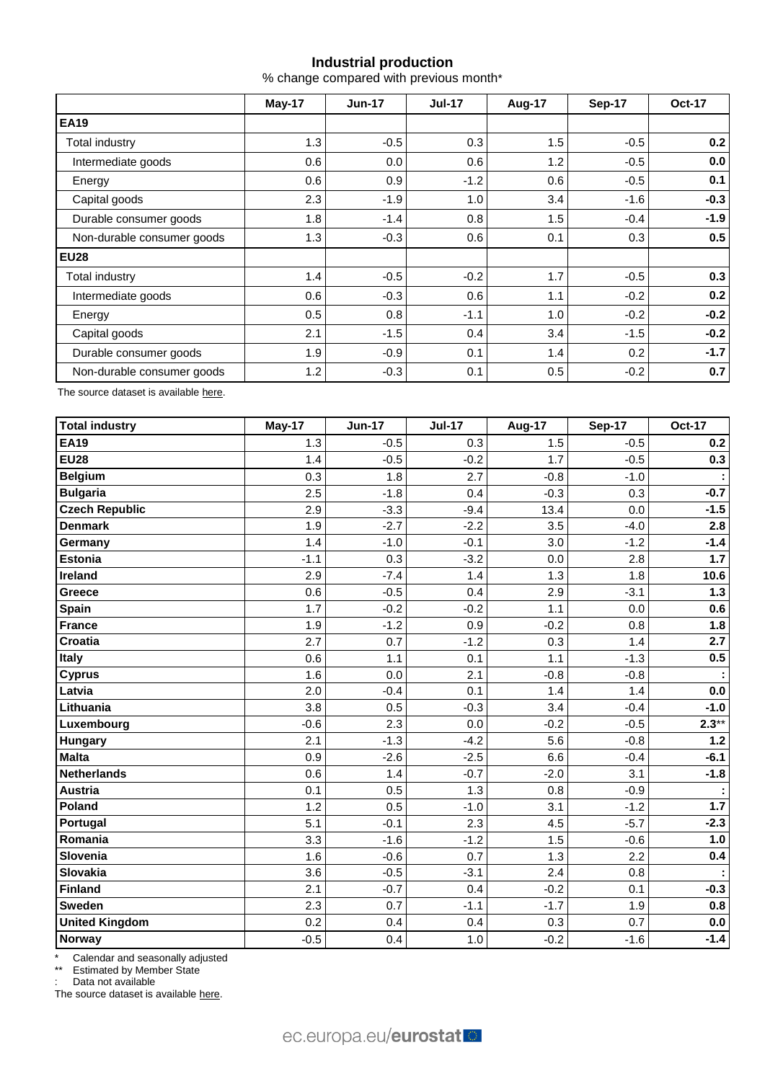## **Industrial production**

% change compared with previous month\*

|                            | May-17 | <b>Jun-17</b>    | <b>Jul-17</b> | Aug-17 | Sep-17 | <b>Oct-17</b> |  |
|----------------------------|--------|------------------|---------------|--------|--------|---------------|--|
| <b>EA19</b>                |        |                  |               |        |        |               |  |
| Total industry             | 1.3    | $-0.5$           | 0.3           | 1.5    | $-0.5$ | 0.2           |  |
| Intermediate goods         | 0.6    | 0.0 <sub>1</sub> | 0.6           | 1.2    | $-0.5$ | 0.0           |  |
| Energy                     | 0.6    | 0.9              | $-1.2$        | 0.6    | $-0.5$ | 0.1           |  |
| Capital goods              | 2.3    | $-1.9$           | 1.0           | 3.4    | $-1.6$ | $-0.3$        |  |
| Durable consumer goods     | 1.8    | $-1.4$           | 0.8           | 1.5    | $-0.4$ | $-1.9$        |  |
| Non-durable consumer goods | 1.3    | $-0.3$           | 0.6           | 0.1    | 0.3    | 0.5           |  |
| <b>EU28</b>                |        |                  |               |        |        |               |  |
| Total industry             | 1.4    | $-0.5$           | $-0.2$        | 1.7    | $-0.5$ | 0.3           |  |
| Intermediate goods         | 0.6    | $-0.3$           | 0.6           | 1.1    | $-0.2$ | 0.2           |  |
| Energy                     | 0.5    | 0.8              | $-1.1$        | 1.0    | $-0.2$ | $-0.2$        |  |
| Capital goods              | 2.1    | $-1.5$           | 0.4           | 3.4    | $-1.5$ | $-0.2$        |  |
| Durable consumer goods     | 1.9    | $-0.9$           | 0.1           | 1.4    | 0.2    | $-1.7$        |  |
| Non-durable consumer goods | 1.2    | $-0.3$           | 0.1           | 0.5    | $-0.2$ | 0.7           |  |

The source dataset is availabl[e here.](http://appsso.eurostat.ec.europa.eu/nui/show.do?query=BOOKMARK_DS-069583_QID_-53045BCF_UID_-3F171EB0&layout=TIME,C,X,0;GEO,L,Y,0;NACE_R2,L,Y,1;INDIC_BT,L,Z,0;S_ADJ,L,Z,1;UNIT,L,Z,2;INDICATORS,C,Z,3;&zSelection=DS-069583UNIT,PCH_PRE;DS-069583S_ADJ,SCA;DS-069583INDIC_BT,PROD;DS-069583INDICATORS,OBS_FLAG;&rankName1=UNIT_1_2_-1_2&rankName2=INDIC-BT_1_2_-1_2&rankName3=INDICATORS_1_2_-1_2&rankName4=S-ADJ_1_2_-1_2&rankName5=TIME_1_0_0_0&rankName6=GEO_1_0_0_1&rankName7=NACE-R2_1_2_1_1&sortR=ASC_-1_FIRST&sortC=ASC_-1_FIRST&rStp=&cStp=&rDCh=&cDCh=&rDM=true&cDM=true&footnes=false&empty=false&wai=false&time_mode=ROLLING&time_most_recent=true&lang=EN&cfo=%23%23%23%2C%23%23%23.%23%23%23)

| <b>Total industry</b> | May-17 | <b>Jun-17</b> | <b>Jul-17</b> | <b>Aug-17</b> | <b>Sep-17</b> | <b>Oct-17</b>        |
|-----------------------|--------|---------------|---------------|---------------|---------------|----------------------|
| <b>EA19</b>           | 1.3    | $-0.5$        | 0.3           | 1.5           | $-0.5$        | 0.2                  |
| <b>EU28</b>           | 1.4    | $-0.5$        | $-0.2$        | 1.7           | $-0.5$        | 0.3                  |
| <b>Belgium</b>        | 0.3    | 1.8           | 2.7           | $-0.8$        | $-1.0$        |                      |
| <b>Bulgaria</b>       | 2.5    | $-1.8$        | 0.4           | $-0.3$        | 0.3           | $-0.7$               |
| <b>Czech Republic</b> | 2.9    | $-3.3$        | $-9.4$        | 13.4          | 0.0           | $-1.5$               |
| <b>Denmark</b>        | 1.9    | $-2.7$        | $-2.2$        | 3.5           | $-4.0$        | $\overline{2.8}$     |
| Germany               | 1.4    | $-1.0$        | $-0.1$        | 3.0           | $-1.2$        | $-1.4$               |
| <b>Estonia</b>        | $-1.1$ | 0.3           | $-3.2$        | 0.0           | 2.8           | 1.7                  |
| Ireland               | 2.9    | $-7.4$        | 1.4           | 1.3           | 1.8           | 10.6                 |
| <b>Greece</b>         | 0.6    | $-0.5$        | 0.4           | 2.9           | $-3.1$        | $1.3$                |
| <b>Spain</b>          | 1.7    | $-0.2$        | $-0.2$        | 1.1           | 0.0           | 0.6                  |
| <b>France</b>         | 1.9    | $-1.2$        | 0.9           | $-0.2$        | 0.8           | 1.8                  |
| <b>Croatia</b>        | 2.7    | 0.7           | $-1.2$        | 0.3           | 1.4           | 2.7                  |
| <b>Italy</b>          | 0.6    | 1.1           | 0.1           | 1.1           | $-1.3$        | 0.5                  |
| <b>Cyprus</b>         | 1.6    | 0.0           | 2.1           | $-0.8$        | $-0.8$        | $\ddot{\phantom{a}}$ |
| Latvia                | 2.0    | $-0.4$        | 0.1           | 1.4           | 1.4           | 0.0                  |
| Lithuania             | 3.8    | 0.5           | $-0.3$        | 3.4           | $-0.4$        | $-1.0$               |
| Luxembourg            | $-0.6$ | 2.3           | 0.0           | $-0.2$        | $-0.5$        | $2.3**$              |
| <b>Hungary</b>        | 2.1    | $-1.3$        | $-4.2$        | 5.6           | $-0.8$        | 1.2                  |
| <b>Malta</b>          | 0.9    | $-2.6$        | $-2.5$        | 6.6           | $-0.4$        | $-6.1$               |
| Netherlands           | 0.6    | 1.4           | $-0.7$        | $-2.0$        | 3.1           | $-1.8$               |
| <b>Austria</b>        | 0.1    | 0.5           | 1.3           | 0.8           | $-0.9$        |                      |
| Poland                | 1.2    | 0.5           | $-1.0$        | 3.1           | $-1.2$        | 1.7                  |
| Portugal              | 5.1    | $-0.1$        | 2.3           | 4.5           | $-5.7$        | $-2.3$               |
| Romania               | 3.3    | $-1.6$        | $-1.2$        | 1.5           | $-0.6$        | 1.0                  |
| Slovenia              | 1.6    | $-0.6$        | 0.7           | 1.3           | 2.2           | 0.4                  |
| Slovakia              | 3.6    | $-0.5$        | $-3.1$        | 2.4           | 0.8           | ÷                    |
| Finland               | 2.1    | $-0.7$        | 0.4           | $-0.2$        | 0.1           | $-0.3$               |
| <b>Sweden</b>         | 2.3    | 0.7           | $-1.1$        | $-1.7$        | 1.9           | 0.8                  |
| <b>United Kingdom</b> | 0.2    | 0.4           | 0.4           | 0.3           | 0.7           | 0.0                  |
| Norway                | $-0.5$ | 0.4           | 1.0           | $-0.2$        | $-1.6$        | $-1.4$               |

\* Calendar and seasonally adjusted

\*\* Estimated by Member State

: Data not available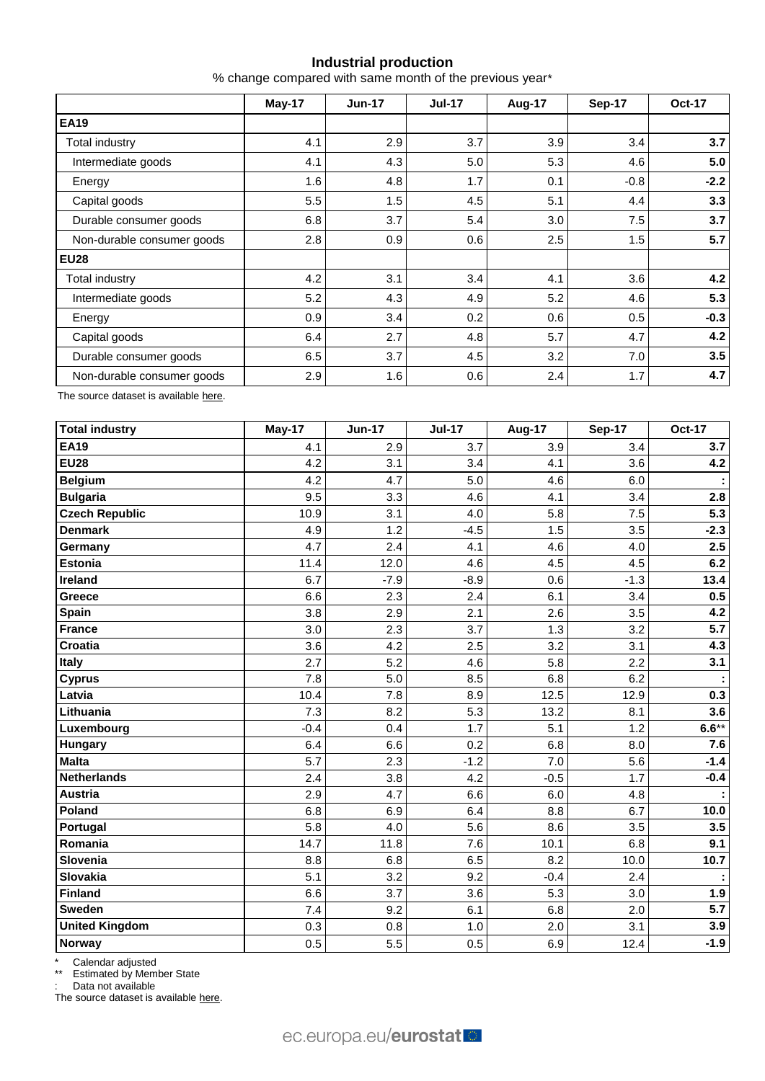## **Industrial production**

% change compared with same month of the previous year\*

|                            | May-17 | <b>Jun-17</b> | <b>Jul-17</b> | <b>Aug-17</b> | Sep-17 | <b>Oct-17</b> |
|----------------------------|--------|---------------|---------------|---------------|--------|---------------|
| <b>EA19</b>                |        |               |               |               |        |               |
| <b>Total industry</b>      | 4.1    | 2.9           | 3.7           | 3.9           | 3.4    | 3.7           |
| Intermediate goods         | 4.1    | 4.3           | 5.0           | 5.3           | 4.6    | 5.0           |
| Energy                     | 1.6    | 4.8           | 1.7           | 0.1           | $-0.8$ | $-2.2$        |
| Capital goods              | 5.5    | 1.5           | 4.5           | 5.1           | 4.4    | 3.3           |
| Durable consumer goods     | 6.8    | 3.7           | 5.4           | 3.0           | 7.5    | 3.7           |
| Non-durable consumer goods | 2.8    | 0.9           | 0.6           | 2.5           | 1.5    | 5.7           |
| <b>EU28</b>                |        |               |               |               |        |               |
| Total industry             | 4.2    | 3.1           | 3.4           | 4.1           | 3.6    | 4.2           |
| Intermediate goods         | 5.2    | 4.3           | 4.9           | 5.2           | 4.6    | 5.3           |
| Energy                     | 0.9    | 3.4           | 0.2           | 0.6           | 0.5    | $-0.3$        |
| Capital goods              | 6.4    | 2.7           | 4.8           | 5.7           | 4.7    | 4.2           |
| Durable consumer goods     | 6.5    | 3.7           | 4.5           | 3.2           | 7.0    | 3.5           |
| Non-durable consumer goods | 2.9    | 1.6           | 0.6           | 2.4           | 1.7    | 4.7           |

The source dataset is availabl[e here.](http://appsso.eurostat.ec.europa.eu/nui/show.do?query=BOOKMARK_DS-069583_QID_-628F3FF0_UID_-3F171EB0&layout=TIME,C,X,0;GEO,L,Y,0;NACE_R2,L,Y,1;INDIC_BT,L,Z,0;S_ADJ,L,Z,1;UNIT,L,Z,2;INDICATORS,C,Z,3;&zSelection=DS-069583UNIT,PCH_PRE;DS-069583S_ADJ,SCA;DS-069583INDIC_BT,PROD;DS-069583INDICATORS,OBS_FLAG;&rankName1=UNIT_1_2_-1_2&rankName2=INDIC-BT_1_2_-1_2&rankName3=INDICATORS_1_2_-1_2&rankName4=S-ADJ_1_2_-1_2&rankName5=TIME_1_0_0_0&rankName6=GEO_1_0_0_1&rankName7=NACE-R2_1_2_1_1&sortR=ASC_-1_FIRST&sortC=ASC_-1_FIRST&rStp=&cStp=&rDCh=&cDCh=&rDM=true&cDM=true&footnes=false&empty=false&wai=false&time_mode=ROLLING&time_most_recent=true&lang=EN&cfo=%23%23%23%2C%23%23%23.%23%23%23)

| <b>Total industry</b> | May-17 | <b>Jun-17</b> | <b>Jul-17</b> | Aug-17 | Sep-17 | <b>Oct-17</b> |
|-----------------------|--------|---------------|---------------|--------|--------|---------------|
| <b>EA19</b>           | 4.1    | 2.9           | 3.7           | 3.9    | 3.4    | 3.7           |
| <b>EU28</b>           | 4.2    | 3.1           | 3.4           | 4.1    | 3.6    | 4.2           |
| <b>Belgium</b>        | 4.2    | 4.7           | 5.0           | 4.6    | 6.0    |               |
| <b>Bulgaria</b>       | 9.5    | 3.3           | 4.6           | 4.1    | 3.4    | 2.8           |
| <b>Czech Republic</b> | 10.9   | 3.1           | 4.0           | 5.8    | 7.5    | 5.3           |
| <b>Denmark</b>        | 4.9    | 1.2           | $-4.5$        | 1.5    | 3.5    | $-2.3$        |
| Germany               | 4.7    | 2.4           | 4.1           | 4.6    | 4.0    | 2.5           |
| Estonia               | 11.4   | 12.0          | 4.6           | 4.5    | 4.5    | 6.2           |
| Ireland               | 6.7    | $-7.9$        | $-8.9$        | 0.6    | $-1.3$ | 13.4          |
| Greece                | 6.6    | 2.3           | 2.4           | 6.1    | 3.4    | 0.5           |
| <b>Spain</b>          | 3.8    | 2.9           | 2.1           | 2.6    | 3.5    | 4.2           |
| France                | 3.0    | 2.3           | 3.7           | 1.3    | 3.2    | 5.7           |
| Croatia               | 3.6    | 4.2           | 2.5           | 3.2    | 3.1    | 4.3           |
| <b>Italy</b>          | 2.7    | 5.2           | 4.6           | 5.8    | 2.2    | 3.1           |
| <b>Cyprus</b>         | 7.8    | 5.0           | 8.5           | 6.8    | 6.2    |               |
| Latvia                | 10.4   | 7.8           | 8.9           | 12.5   | 12.9   | 0.3           |
| Lithuania             | 7.3    | 8.2           | 5.3           | 13.2   | 8.1    | 3.6           |
| Luxembourg            | $-0.4$ | 0.4           | 1.7           | 5.1    | 1.2    | $6.6***$      |
| <b>Hungary</b>        | 6.4    | 6.6           | 0.2           | 6.8    | 8.0    | 7.6           |
| <b>Malta</b>          | 5.7    | 2.3           | $-1.2$        | 7.0    | 5.6    | $-1.4$        |
| <b>Netherlands</b>    | 2.4    | 3.8           | 4.2           | $-0.5$ | 1.7    | $-0.4$        |
| <b>Austria</b>        | 2.9    | 4.7           | 6.6           | 6.0    | 4.8    |               |
| Poland                | 6.8    | 6.9           | 6.4           | 8.8    | 6.7    | 10.0          |
| Portugal              | 5.8    | 4.0           | 5.6           | 8.6    | 3.5    | 3.5           |
| Romania               | 14.7   | 11.8          | 7.6           | 10.1   | 6.8    | 9.1           |
| Slovenia              | 8.8    | 6.8           | 6.5           | 8.2    | 10.0   | 10.7          |
| Slovakia              | 5.1    | 3.2           | 9.2           | $-0.4$ | 2.4    |               |
| Finland               | 6.6    | 3.7           | 3.6           | 5.3    | 3.0    | 1.9           |
| <b>Sweden</b>         | 7.4    | 9.2           | 6.1           | 6.8    | 2.0    | 5.7           |
| <b>United Kingdom</b> | 0.3    | 0.8           | 1.0           | 2.0    | 3.1    | 3.9           |
| <b>Norway</b>         | 0.5    | 5.5           | 0.5           | 6.9    | 12.4   | $-1.9$        |

\* Calendar adjusted

\*\* Estimated by Member State

: Data not available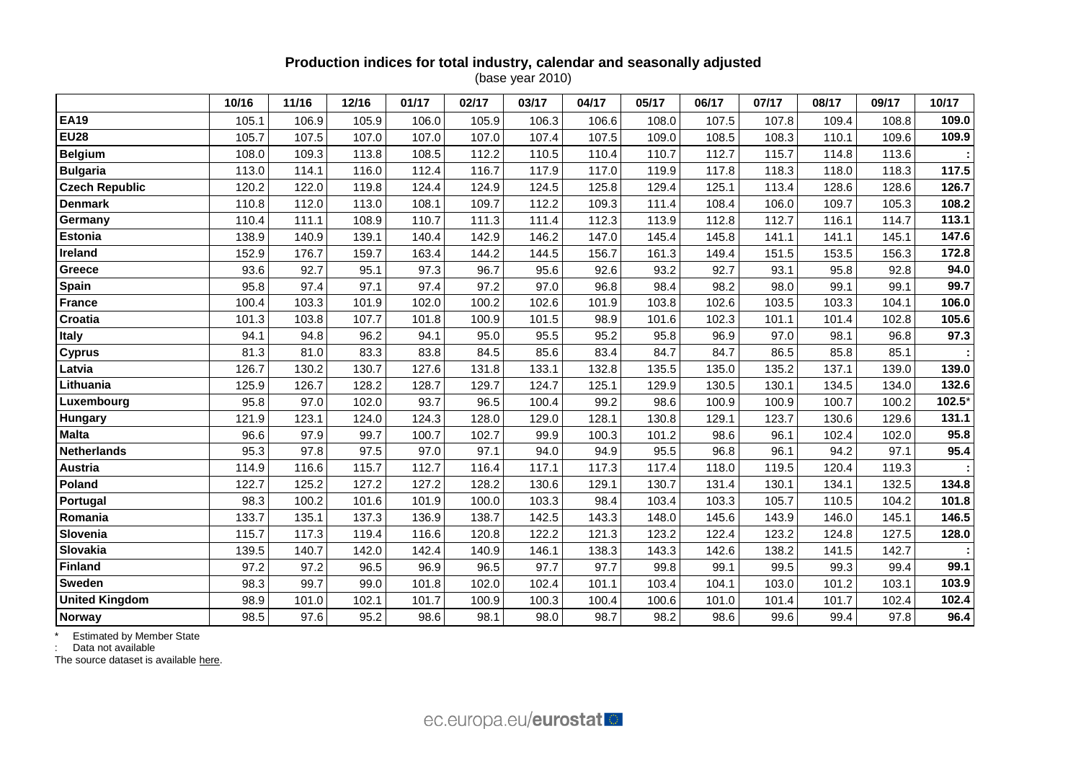## **Production indices for total industry, calendar and seasonally adjusted**

(base year 2010)

|                       | 10/16 | 11/16 | 12/16 | 01/17 | 02/17 | 03/17 | 04/17 | 05/17 | 06/17 | 07/17 | 08/17 | 09/17 | 10/17  |
|-----------------------|-------|-------|-------|-------|-------|-------|-------|-------|-------|-------|-------|-------|--------|
| <b>EA19</b>           | 105.1 | 106.9 | 105.9 | 106.0 | 105.9 | 106.3 | 106.6 | 108.0 | 107.5 | 107.8 | 109.4 | 108.8 | 109.0  |
| <b>EU28</b>           | 105.7 | 107.5 | 107.0 | 107.0 | 107.0 | 107.4 | 107.5 | 109.0 | 108.5 | 108.3 | 110.1 | 109.6 | 109.9  |
| <b>Belgium</b>        | 108.0 | 109.3 | 113.8 | 108.5 | 112.2 | 110.5 | 110.4 | 110.7 | 112.7 | 115.7 | 114.8 | 113.6 |        |
| <b>Bulgaria</b>       | 113.0 | 114.1 | 116.0 | 112.4 | 116.7 | 117.9 | 117.0 | 119.9 | 117.8 | 118.3 | 118.0 | 118.3 | 117.5  |
| <b>Czech Republic</b> | 120.2 | 122.0 | 119.8 | 124.4 | 124.9 | 124.5 | 125.8 | 129.4 | 125.1 | 113.4 | 128.6 | 128.6 | 126.7  |
| <b>Denmark</b>        | 110.8 | 112.0 | 113.0 | 108.1 | 109.7 | 112.2 | 109.3 | 111.4 | 108.4 | 106.0 | 109.7 | 105.3 | 108.2  |
| Germany               | 110.4 | 111.1 | 108.9 | 110.7 | 111.3 | 111.4 | 112.3 | 113.9 | 112.8 | 112.7 | 116.1 | 114.7 | 113.1  |
| Estonia               | 138.9 | 140.9 | 139.1 | 140.4 | 142.9 | 146.2 | 147.0 | 145.4 | 145.8 | 141.1 | 141.1 | 145.1 | 147.6  |
| Ireland               | 152.9 | 176.7 | 159.7 | 163.4 | 144.2 | 144.5 | 156.7 | 161.3 | 149.4 | 151.5 | 153.5 | 156.3 | 172.8  |
| Greece                | 93.6  | 92.7  | 95.1  | 97.3  | 96.7  | 95.6  | 92.6  | 93.2  | 92.7  | 93.1  | 95.8  | 92.8  | 94.0   |
| Spain                 | 95.8  | 97.4  | 97.1  | 97.4  | 97.2  | 97.0  | 96.8  | 98.4  | 98.2  | 98.0  | 99.1  | 99.1  | 99.7   |
| <b>France</b>         | 100.4 | 103.3 | 101.9 | 102.0 | 100.2 | 102.6 | 101.9 | 103.8 | 102.6 | 103.5 | 103.3 | 104.1 | 106.0  |
| Croatia               | 101.3 | 103.8 | 107.7 | 101.8 | 100.9 | 101.5 | 98.9  | 101.6 | 102.3 | 101.1 | 101.4 | 102.8 | 105.6  |
| <b>Italy</b>          | 94.1  | 94.8  | 96.2  | 94.1  | 95.0  | 95.5  | 95.2  | 95.8  | 96.9  | 97.0  | 98.1  | 96.8  | 97.3   |
| <b>Cyprus</b>         | 81.3  | 81.0  | 83.3  | 83.8  | 84.5  | 85.6  | 83.4  | 84.7  | 84.7  | 86.5  | 85.8  | 85.1  |        |
| Latvia                | 126.7 | 130.2 | 130.7 | 127.6 | 131.8 | 133.1 | 132.8 | 135.5 | 135.0 | 135.2 | 137.1 | 139.0 | 139.0  |
| Lithuania             | 125.9 | 126.7 | 128.2 | 128.7 | 129.7 | 124.7 | 125.1 | 129.9 | 130.5 | 130.1 | 134.5 | 134.0 | 132.6  |
| Luxembourg            | 95.8  | 97.0  | 102.0 | 93.7  | 96.5  | 100.4 | 99.2  | 98.6  | 100.9 | 100.9 | 100.7 | 100.2 | 102.5* |
| Hungary               | 121.9 | 123.1 | 124.0 | 124.3 | 128.0 | 129.0 | 128.1 | 130.8 | 129.1 | 123.7 | 130.6 | 129.6 | 131.1  |
| <b>Malta</b>          | 96.6  | 97.9  | 99.7  | 100.7 | 102.7 | 99.9  | 100.3 | 101.2 | 98.6  | 96.1  | 102.4 | 102.0 | 95.8   |
| <b>Netherlands</b>    | 95.3  | 97.8  | 97.5  | 97.0  | 97.1  | 94.0  | 94.9  | 95.5  | 96.8  | 96.1  | 94.2  | 97.1  | 95.4   |
| <b>Austria</b>        | 114.9 | 116.6 | 115.7 | 112.7 | 116.4 | 117.1 | 117.3 | 117.4 | 118.0 | 119.5 | 120.4 | 119.3 |        |
| Poland                | 122.7 | 125.2 | 127.2 | 127.2 | 128.2 | 130.6 | 129.1 | 130.7 | 131.4 | 130.1 | 134.1 | 132.5 | 134.8  |
| Portugal              | 98.3  | 100.2 | 101.6 | 101.9 | 100.0 | 103.3 | 98.4  | 103.4 | 103.3 | 105.7 | 110.5 | 104.2 | 101.8  |
| Romania               | 133.7 | 135.1 | 137.3 | 136.9 | 138.7 | 142.5 | 143.3 | 148.0 | 145.6 | 143.9 | 146.0 | 145.1 | 146.5  |
| Slovenia              | 115.7 | 117.3 | 119.4 | 116.6 | 120.8 | 122.2 | 121.3 | 123.2 | 122.4 | 123.2 | 124.8 | 127.5 | 128.0  |
| Slovakia              | 139.5 | 140.7 | 142.0 | 142.4 | 140.9 | 146.1 | 138.3 | 143.3 | 142.6 | 138.2 | 141.5 | 142.7 |        |
| <b>Finland</b>        | 97.2  | 97.2  | 96.5  | 96.9  | 96.5  | 97.7  | 97.7  | 99.8  | 99.1  | 99.5  | 99.3  | 99.4  | 99.1   |
| <b>Sweden</b>         | 98.3  | 99.7  | 99.0  | 101.8 | 102.0 | 102.4 | 101.1 | 103.4 | 104.1 | 103.0 | 101.2 | 103.1 | 103.9  |
| <b>United Kingdom</b> | 98.9  | 101.0 | 102.1 | 101.7 | 100.9 | 100.3 | 100.4 | 100.6 | 101.0 | 101.4 | 101.7 | 102.4 | 102.4  |
| Norway                | 98.5  | 97.6  | 95.2  | 98.6  | 98.1  | 98.0  | 98.7  | 98.2  | 98.6  | 99.6  | 99.4  | 97.8  | 96.4   |

\* Estimated by Member State

: Data not available